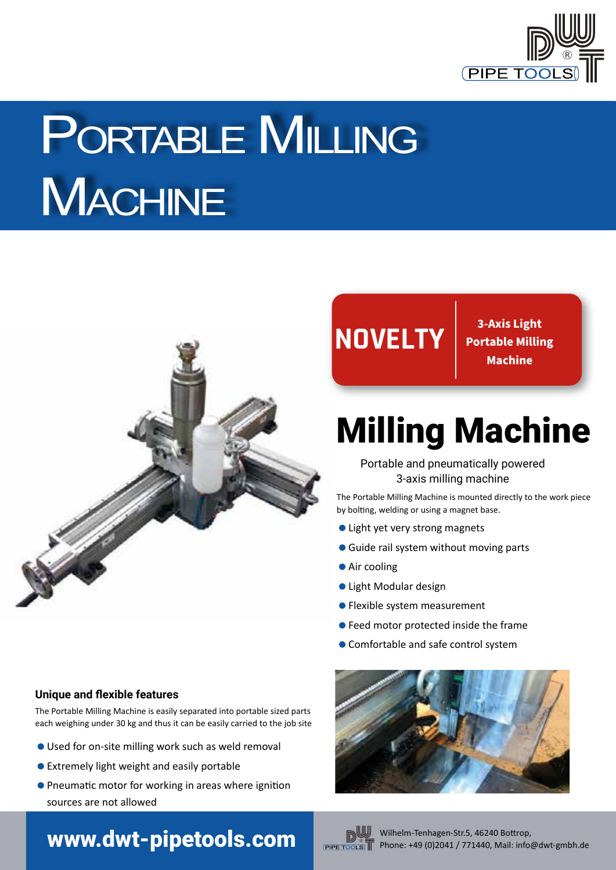

# PORTABLE MILLING **MACHINE**



## **NOVELTY 3-Axis Light**

**Portable Milling Machine**

## Milling Machine

Portable and pneumatically powered 3-axis milling machine

The Portable Milling Machine is mounted directly to the work piece by bolting, welding or using a magnet base.

- Light yet very strong magnets
- **Guide rail system without moving parts**
- **Air cooling**
- Light Modular design
- Flexible system measurement
- Feed motor protected inside the frame
- Comfortable and safe control system

### **Unique and flexible features**

The Portable Milling Machine is easily separated into portable sized parts each weighing under 30 kg and thus it can be easily carried to the job site

- Used for on-site milling work such as weld removal
- Extremely light weight and easily portable
- Pneumatic motor for working in areas where ignition sources are not allowed

## WWW.dwt-pipetools.com **Wilhelm-Tenhagen-Str.5, 46240 Bottrop**,